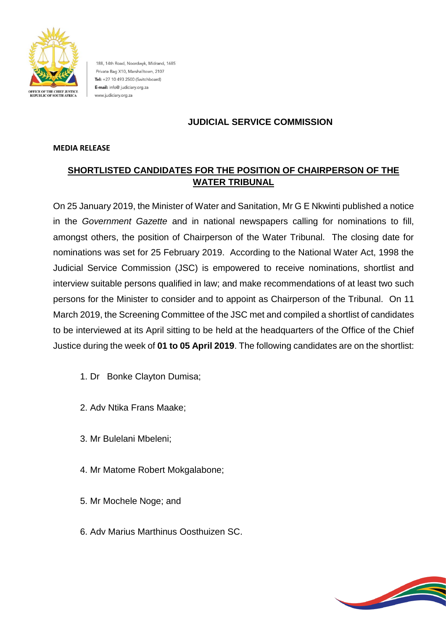

188, 14th Road, Noordwyk, Midrand, 1685 Private Bag X10, Marshalltown, 2107 Tel: +27 10 493 2500 (Switchboard) E-mail: info@ judiciary.org.za www.judiciary.org.za

## **JUDICIAL SERVICE COMMISSION**

## **MEDIA RELEASE**

## **SHORTLISTED CANDIDATES FOR THE POSITION OF CHAIRPERSON OF THE WATER TRIBUNAL**

On 25 January 2019, the Minister of Water and Sanitation, Mr G E Nkwinti published a notice in the *Government Gazette* and in national newspapers calling for nominations to fill, amongst others, the position of Chairperson of the Water Tribunal. The closing date for nominations was set for 25 February 2019. According to the National Water Act, 1998 the Judicial Service Commission (JSC) is empowered to receive nominations, shortlist and interview suitable persons qualified in law; and make recommendations of at least two such persons for the Minister to consider and to appoint as Chairperson of the Tribunal. On 11 March 2019, the Screening Committee of the JSC met and compiled a shortlist of candidates to be interviewed at its April sitting to be held at the headquarters of the Office of the Chief Justice during the week of **01 to 05 April 2019**. The following candidates are on the shortlist:

- 1. Dr Bonke Clayton Dumisa;
- 2. Adv Ntika Frans Maake;
- 3. Mr Bulelani Mbeleni;
- 4. Mr Matome Robert Mokgalabone;
- 5. Mr Mochele Noge; and
- 6. Adv Marius Marthinus Oosthuizen SC.